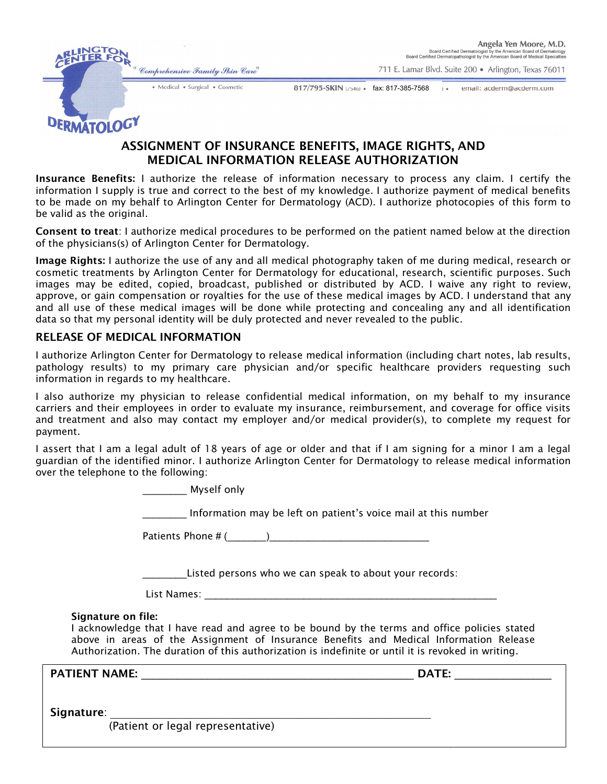" Comprehensive Family Skin Care"



711 E. Lamar Blvd. Suite 200 · Arlington, Texas 76011

· Medical · Surgical · Cosmetic

817/795-SKIN (7546) · fax: 817-385-7568 · · · email: acderm@acderm.com

DERMATOLOGY

# ASSIGNMENT OF INSURANCE BENEFITS, IMAGE RIGHTS, AND MEDICAL INFORMATION RELEASE AUTHORIZATION

**Insurance Benefits:** I authorize the release of information necessary to process any claim. I certify the information I supply is true and correct to the best of my knowledge. I authorize payment of medical benefits **Insurance Benefits:** I authorize the release of information necessary to process any claim. I certify the<br>information I supply is true and correct to the best of my knowledge. I authorize payment of medical benefits<br>to be be valid as the original.

Consent to treat: I authorize medical procedures to be performed on the patient named below at the direction of the physicians(s) of Arlington Center for Dermatology. **Consent to treat**: I authorize medical procedures to be performed on the patient named below at<br>of the physicians(s) of Arlington Center for Dermatology.<br>**Image Rights:** I authorize the use of any and all medical photogra . I authorize photocopies of this form to<br>the patient named below at the direction<br>taken of me during medical, research or

cosmetic treatments by Arlington Center for Dermatology for educational, research, scientific purposes. Such images may be edited, copied, broadcast, published or distributed by ACD. I waive any right to review, images may be edited, copied, broadcast, published or distributed by ACD. I waive any right to review,<br>approve, or gain compensation or royalties for the use of these medical images by ACD. I understand that any approve, or gain compensation or royalties for the use of these medical images by ACD. I understand that any<br>and all use of these medical images will be done while protecting and concealing any and all identification data so that my personal identity will be duly protected and never revealed to the public.

### RELEASE OF MEDICAL INFORMATION

I authorize Arlington Center for Dermatology to release medical information (including chart notes, lab results, pathology results) to my primary care physician and/or specific healthcare providers requesting such information in regards to my healthcare. pathology results) to my primary care physician and/or specific healthcare providers requesting such<br>information in regards to my healthcare.<br>I also authorize my physician to release confidential medical information, on my

carriers and their employees in order to evaluate my insurance, reimbursement, and coverage for office visits and treatment and also may contact my employer and/or medical provider(s), to complete payment. and their employees in order to evaluate my insurance, reimbursement, and coverage for office visits<br>itment and also may contact my employer and/or medical provider(s), to complete my request for<br>..<br>hat I am a legal adult release medical information (including chart notes, lab results,<br>ician and/or specific healthcare providers requesting such<br>idential medical information, on my behalf to my insurance<br>te my insurance, reimbursement, and cov

I assert that I am a legal adult of 18 years of age or older and that if I am signing for a minor I am a legal guardian of the identified minor. I authorize Arlington Center for over the telephone to the following:

\_\_\_\_\_\_\_\_ Myself only

\_\_\_\_\_\_\_\_ Information may be left on Information patient's voice mail at this number

Patients Phone # ( (\_\_\_\_\_\_\_)\_\_\_\_\_\_\_\_\_\_\_\_\_\_\_\_\_\_\_\_\_\_\_\_\_\_\_\_\_

Listed persons who we can speak to about your records:

 $List$   $Names:$ 

### Signature on file:

I acknowledge that I have read and agree to be bound by the terms and office policies stated I acknowledge that I have read and agree to be bound by the terms and office policies stated<br>above in areas of the Assignment of Insurance Benefits and Medical Information Release Authorization. The duration of this authorization is indefinite or until it is revoked in writing.

PATIENT NAME: \_\_\_\_\_\_\_\_\_\_\_\_\_\_\_\_\_\_\_\_\_\_\_\_\_\_\_\_\_\_\_\_\_\_\_\_\_\_\_\_\_\_\_\_\_ \_\_\_\_\_\_\_\_\_\_\_\_\_\_\_\_\_\_\_\_\_\_\_\_\_\_\_\_\_\_\_\_\_\_\_\_\_\_\_\_\_\_\_\_\_ DATE:

 $\blacksquare$ 

Signature:

(Patient or legal representative)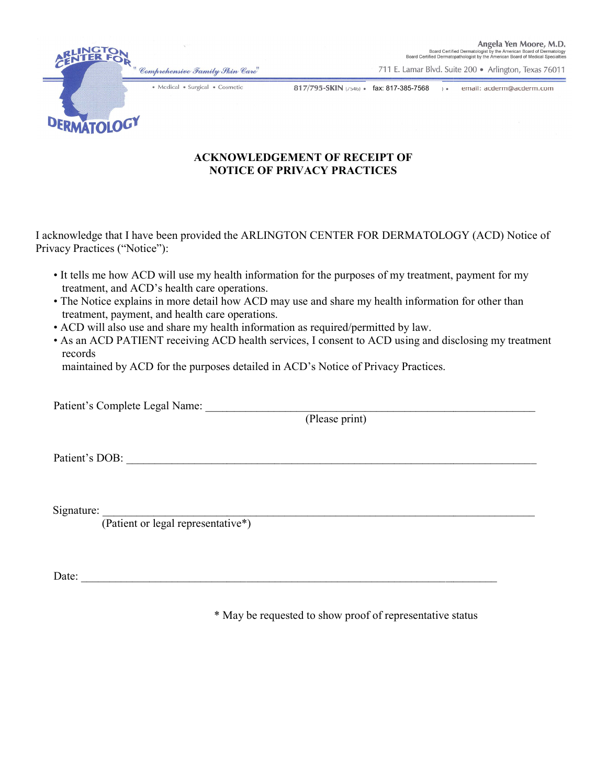" Comprehensive Family Skin Care" · Medical · Surgical · Cosmetic

Angela Yen Moore, M.D. Board Certified Dermatologist by the American Board of Dermatology<br>Board Certified Dermatopathologist by the American Board of Medical Specialties

711 E. Lamar Blvd. Suite 200 · Arlington, Texas 76011

 $\mathcal{L}_\text{max}$ 

817/795-SKIN (7546) · fax: 817-385-7568 · · · · · email: acderm@acderm.com

## ACKNOWLEDGEMENT OF RECEIPT OF ACKNOWLEDGEMENT OF NOTICE OF PRIVACY PRACTICES NOTICE OF PRIVACY

I acknowledge that I have been provided the ARLINGTON CENTER FOR DERMATOLOGY (ACD) Notice of Privacy Practices ("Notice"):

- It tells me how ACD will use my health information for the purposes of my treatment, payment for my treatment, and ACD's health care operations.
- The Notice explains in more detail how ACD may use and share my health information for other than treatment, payment, and health care operations. • It tells me how ACD will use my health information for the purposes of my treatment, payment for my treatment, and ACD's health care operations.<br>• The Notice explains in more detail how ACD may use and share my health in
- ACD will also use and share my health information as required/permitted by law.
- records rvices, I consent to ACD using and disclosing my treatment<br>ACD's Notice of Privacy Practices.<br>(Please print)

maintained by ACD for the purposes detailed in ACD's Notice of Privacy Practices.<br>
Patient's Complete Legal Name: (Please print)

Patient's Complete Legal Name: \_\_\_\_\_\_\_\_\_\_\_\_\_\_\_\_\_\_\_\_\_\_\_\_\_\_\_\_\_\_\_\_\_\_\_\_\_\_\_\_\_\_\_\_\_\_\_\_\_\_\_\_\_\_\_\_\_\_

Patient's DOB:

**DERMATOLOGY** 

Signature:

(Patient or legal representative\*)

 $\text{Date:}$ 

<sup>\*</sup> May be requested to show proof of representative status